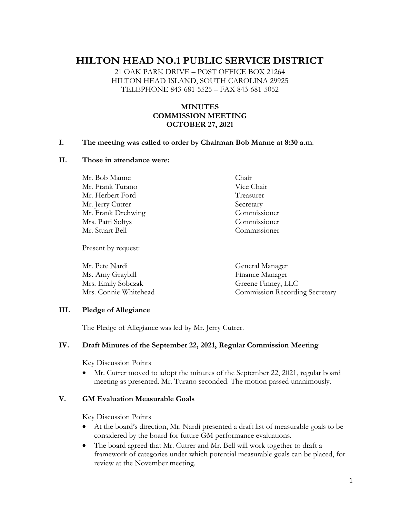# **HILTON HEAD NO.1 PUBLIC SERVICE DISTRICT**

21 OAK PARK DRIVE – POST OFFICE BOX 21264 HILTON HEAD ISLAND, SOUTH CAROLINA 29925 TELEPHONE 843-681-5525 – FAX 843-681-5052

# **MINUTES COMMISSION MEETING OCTOBER 27, 2021**

#### **I. The meeting was called to order by Chairman Bob Manne at 8:30 a.m**.

#### **II. Those in attendance were:**

Mr. Bob Manne Chair Mr. Frank Turano Vice Chair Mr. Herbert Ford Treasurer Mr. Jerry Cutrer Secretary Mr. Frank Drehwing Commissioner Mrs. Patti Soltys Commissioner Mr. Stuart Bell Commissioner

Present by request:

Mr. Pete Nardi General Manager Ms. Amy Graybill Finance Manager Mrs. Emily Sobczak Greene Finney, LLC Mrs. Connie Whitehead Commission Recording Secretary

#### **III. Pledge of Allegiance**

The Pledge of Allegiance was led by Mr. Jerry Cutrer.

#### **IV. Draft Minutes of the September 22, 2021, Regular Commission Meeting**

Key Discussion Points

• Mr. Cutrer moved to adopt the minutes of the September 22, 2021, regular board meeting as presented. Mr. Turano seconded. The motion passed unanimously.

#### **V. GM Evaluation Measurable Goals**

Key Discussion Points

- At the board's direction, Mr. Nardi presented a draft list of measurable goals to be considered by the board for future GM performance evaluations.
- The board agreed that Mr. Cutrer and Mr. Bell will work together to draft a framework of categories under which potential measurable goals can be placed, for review at the November meeting.